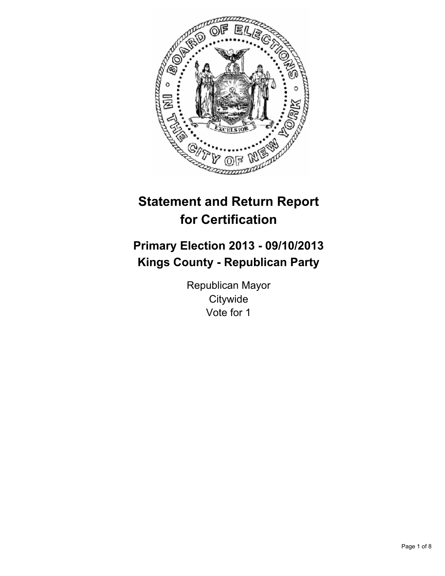

# **Statement and Return Report for Certification**

# **Primary Election 2013 - 09/10/2013 Kings County - Republican Party**

Republican Mayor **Citywide** Vote for 1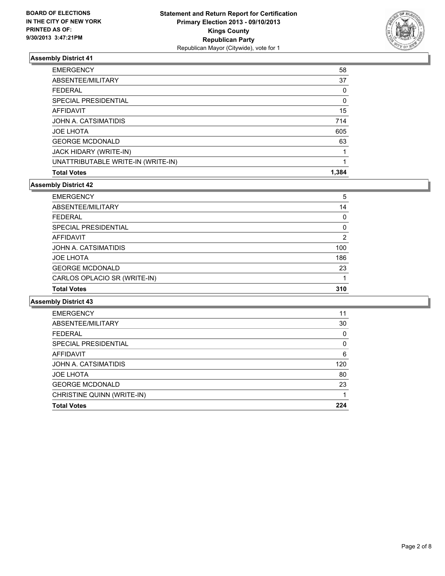

| <b>EMERGENCY</b>                   | 58    |
|------------------------------------|-------|
| ABSENTEE/MILITARY                  | 37    |
| <b>FEDERAL</b>                     | 0     |
| SPECIAL PRESIDENTIAL               | 0     |
| AFFIDAVIT                          | 15    |
| JOHN A. CATSIMATIDIS               | 714   |
| <b>JOE LHOTA</b>                   | 605   |
| <b>GEORGE MCDONALD</b>             | 63    |
| JACK HIDARY (WRITE-IN)             |       |
| UNATTRIBUTABLE WRITE-IN (WRITE-IN) |       |
| <b>Total Votes</b>                 | 1.384 |

#### **Assembly District 42**

| <b>EMERGENCY</b>             | 5   |
|------------------------------|-----|
| ABSENTEE/MILITARY            | 14  |
| <b>FEDERAL</b>               | 0   |
| SPECIAL PRESIDENTIAL         | 0   |
| <b>AFFIDAVIT</b>             | 2   |
| JOHN A. CATSIMATIDIS         | 100 |
| <b>JOE LHOTA</b>             | 186 |
| <b>GEORGE MCDONALD</b>       | 23  |
| CARLOS OPLACIO SR (WRITE-IN) |     |
| <b>Total Votes</b>           | 310 |

| <b>EMERGENCY</b>            | 11  |
|-----------------------------|-----|
| ABSENTEE/MILITARY           | 30  |
| <b>FEDERAL</b>              | 0   |
| <b>SPECIAL PRESIDENTIAL</b> | 0   |
| <b>AFFIDAVIT</b>            | 6   |
| JOHN A. CATSIMATIDIS        | 120 |
| <b>JOE LHOTA</b>            | 80  |
| <b>GEORGE MCDONALD</b>      | 23  |
| CHRISTINE QUINN (WRITE-IN)  |     |
| <b>Total Votes</b>          | 224 |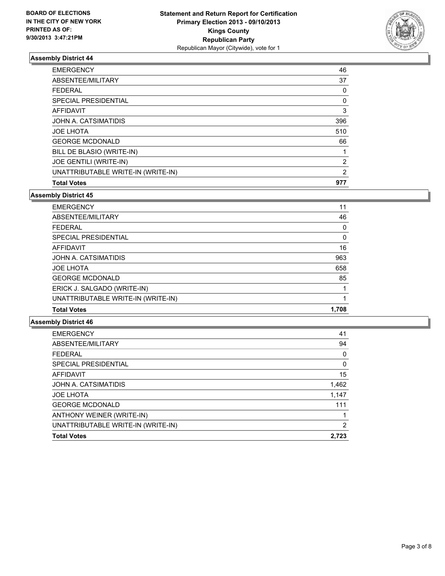

| <b>Total Votes</b>                 | 977                   |
|------------------------------------|-----------------------|
| UNATTRIBUTABLE WRITE-IN (WRITE-IN) | 2                     |
| JOE GENTILI (WRITE-IN)             | $\mathbf{2}^{\prime}$ |
| BILL DE BLASIO (WRITE-IN)          |                       |
| <b>GEORGE MCDONALD</b>             | 66                    |
| <b>JOE LHOTA</b>                   | 510                   |
| JOHN A. CATSIMATIDIS               | 396                   |
| AFFIDAVIT                          | 3                     |
| SPECIAL PRESIDENTIAL               | 0                     |
| <b>FEDERAL</b>                     | 0                     |
| ABSENTEE/MILITARY                  | 37                    |
| <b>EMERGENCY</b>                   | 46                    |

**Assembly District 45**

| <b>EMERGENCY</b>                   | 11    |
|------------------------------------|-------|
| ABSENTEE/MILITARY                  | 46    |
| <b>FEDERAL</b>                     | 0     |
| SPECIAL PRESIDENTIAL               | 0     |
| AFFIDAVIT                          | 16    |
| JOHN A. CATSIMATIDIS               | 963   |
| <b>JOE LHOTA</b>                   | 658   |
| <b>GEORGE MCDONALD</b>             | 85    |
| ERICK J. SALGADO (WRITE-IN)        |       |
| UNATTRIBUTABLE WRITE-IN (WRITE-IN) |       |
| <b>Total Votes</b>                 | 1.708 |

| <b>EMERGENCY</b>                   | 41    |
|------------------------------------|-------|
| ABSENTEE/MILITARY                  | 94    |
| <b>FEDERAL</b>                     | 0     |
| SPECIAL PRESIDENTIAL               | 0     |
| <b>AFFIDAVIT</b>                   | 15    |
| JOHN A. CATSIMATIDIS               | 1,462 |
| <b>JOE LHOTA</b>                   | 1,147 |
| <b>GEORGE MCDONALD</b>             | 111   |
| ANTHONY WEINER (WRITE-IN)          |       |
| UNATTRIBUTABLE WRITE-IN (WRITE-IN) | 2     |
| <b>Total Votes</b>                 | 2.723 |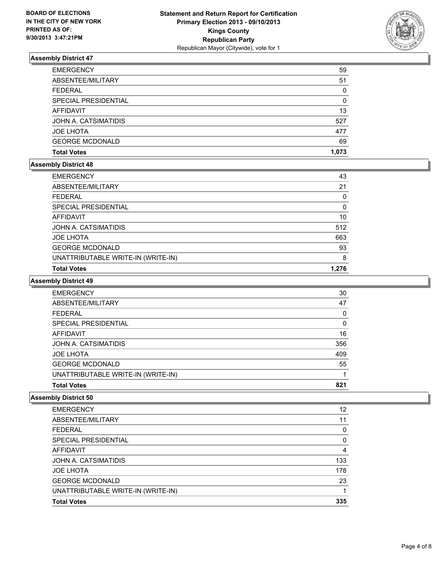

| <b>EMERGENCY</b>       | 59       |
|------------------------|----------|
| ABSENTEE/MILITARY      | 51       |
| <b>FEDERAL</b>         | 0        |
| SPECIAL PRESIDENTIAL   | $\Omega$ |
| <b>AFFIDAVIT</b>       | 13       |
| JOHN A. CATSIMATIDIS   | 527      |
| <b>JOE LHOTA</b>       | 477      |
| <b>GEORGE MCDONALD</b> | 69       |
| <b>Total Votes</b>     | 1.073    |

#### **Assembly District 48**

| <b>EMERGENCY</b>                   | 43       |
|------------------------------------|----------|
| ABSENTEE/MILITARY                  | 21       |
| <b>FEDERAL</b>                     | 0        |
| SPECIAL PRESIDENTIAL               | $\Omega$ |
| AFFIDAVIT                          | 10       |
| JOHN A. CATSIMATIDIS               | 512      |
| <b>JOE LHOTA</b>                   | 663      |
| <b>GEORGE MCDONALD</b>             | 93       |
| UNATTRIBUTABLE WRITE-IN (WRITE-IN) | 8        |
| <b>Total Votes</b>                 | 1.276    |

#### **Assembly District 49**

| <b>EMERGENCY</b>                   | 30  |
|------------------------------------|-----|
| ABSENTEE/MILITARY                  | 47  |
| <b>FEDERAL</b>                     | 0   |
| <b>SPECIAL PRESIDENTIAL</b>        | 0   |
| AFFIDAVIT                          | 16  |
| JOHN A. CATSIMATIDIS               | 356 |
| <b>JOE LHOTA</b>                   | 409 |
| <b>GEORGE MCDONALD</b>             | 55  |
| UNATTRIBUTABLE WRITE-IN (WRITE-IN) |     |
| <b>Total Votes</b>                 | 821 |

| <b>EMERGENCY</b>                   | 12  |
|------------------------------------|-----|
| ABSENTEE/MILITARY                  | 11  |
| <b>FEDERAL</b>                     | 0   |
| <b>SPECIAL PRESIDENTIAL</b>        | 0   |
| <b>AFFIDAVIT</b>                   | 4   |
| JOHN A. CATSIMATIDIS               | 133 |
| <b>JOE LHOTA</b>                   | 178 |
| <b>GEORGE MCDONALD</b>             | 23  |
| UNATTRIBUTABLE WRITE-IN (WRITE-IN) |     |
| <b>Total Votes</b>                 | 335 |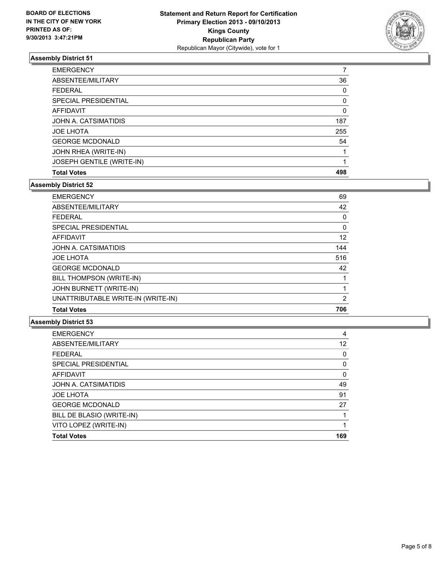

| <b>EMERGENCY</b>          | 7        |
|---------------------------|----------|
| ABSENTEE/MILITARY         | 36       |
| <b>FEDERAL</b>            | $\Omega$ |
| SPECIAL PRESIDENTIAL      | 0        |
| AFFIDAVIT                 | 0        |
| JOHN A. CATSIMATIDIS      | 187      |
| <b>JOE LHOTA</b>          | 255      |
| <b>GEORGE MCDONALD</b>    | 54       |
| JOHN RHEA (WRITE-IN)      |          |
| JOSEPH GENTILE (WRITE-IN) |          |
| <b>Total Votes</b>        | 498      |

#### **Assembly District 52**

| <b>EMERGENCY</b>                   | 69       |
|------------------------------------|----------|
| ABSENTEE/MILITARY                  | 42       |
| <b>FEDERAL</b>                     | 0        |
| <b>SPECIAL PRESIDENTIAL</b>        | $\Omega$ |
| <b>AFFIDAVIT</b>                   | 12       |
| JOHN A. CATSIMATIDIS               | 144      |
| <b>JOE LHOTA</b>                   | 516      |
| <b>GEORGE MCDONALD</b>             | 42       |
| BILL THOMPSON (WRITE-IN)           |          |
| <b>JOHN BURNETT (WRITE-IN)</b>     |          |
| UNATTRIBUTABLE WRITE-IN (WRITE-IN) | 2        |
| <b>Total Votes</b>                 | 706      |

| 4   |
|-----|
| 12  |
| 0   |
| 0   |
| 0   |
| 49  |
| 91  |
| 27  |
|     |
|     |
| 169 |
|     |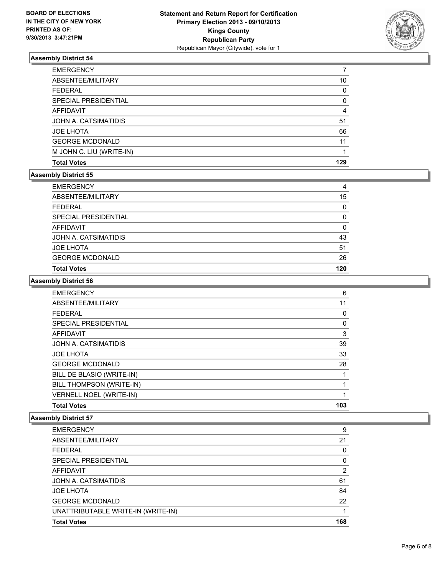

| <b>EMERGENCY</b>         |          |
|--------------------------|----------|
| ABSENTEE/MILITARY        | 10       |
| <b>FEDERAL</b>           | $\Omega$ |
| SPECIAL PRESIDENTIAL     | 0        |
| AFFIDAVIT                | 4        |
| JOHN A. CATSIMATIDIS     | 51       |
| <b>JOE LHOTA</b>         | 66       |
| <b>GEORGE MCDONALD</b>   | 11       |
| M JOHN C. LIU (WRITE-IN) |          |
| <b>Total Votes</b>       | 129      |

#### **Assembly District 55**

| <b>EMERGENCY</b>       | 4   |
|------------------------|-----|
| ABSENTEE/MILITARY      | 15  |
| <b>FEDERAL</b>         | 0   |
| SPECIAL PRESIDENTIAL   | 0   |
| AFFIDAVIT              | 0   |
| JOHN A. CATSIMATIDIS   | 43  |
| <b>JOE LHOTA</b>       | 51  |
| <b>GEORGE MCDONALD</b> | 26  |
| <b>Total Votes</b>     | 120 |

#### **Assembly District 56**

| <b>EMERGENCY</b>               | 6   |
|--------------------------------|-----|
| ABSENTEE/MILITARY              | 11  |
| <b>FEDERAL</b>                 | 0   |
| SPECIAL PRESIDENTIAL           | 0   |
| <b>AFFIDAVIT</b>               | 3   |
| JOHN A. CATSIMATIDIS           | 39  |
| <b>JOE LHOTA</b>               | 33  |
| <b>GEORGE MCDONALD</b>         | 28  |
| BILL DE BLASIO (WRITE-IN)      |     |
| BILL THOMPSON (WRITE-IN)       |     |
| <b>VERNELL NOEL (WRITE-IN)</b> |     |
| <b>Total Votes</b>             | 103 |

| <b>EMERGENCY</b>                   | 9        |
|------------------------------------|----------|
| ABSENTEE/MILITARY                  | 21       |
| <b>FEDERAL</b>                     | 0        |
| SPECIAL PRESIDENTIAL               | $\Omega$ |
| <b>AFFIDAVIT</b>                   | 2        |
| JOHN A. CATSIMATIDIS               | 61       |
| <b>JOE LHOTA</b>                   | 84       |
| <b>GEORGE MCDONALD</b>             | 22       |
| UNATTRIBUTABLE WRITE-IN (WRITE-IN) |          |
| <b>Total Votes</b>                 | 168      |
|                                    |          |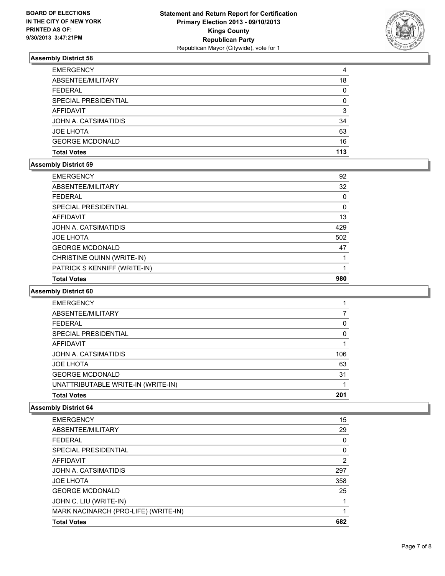

| <b>EMERGENCY</b>       | 4   |
|------------------------|-----|
| ABSENTEE/MILITARY      | 18  |
| <b>FEDERAL</b>         | 0   |
| SPECIAL PRESIDENTIAL   | 0   |
| AFFIDAVIT              | 3   |
| JOHN A. CATSIMATIDIS   | 34  |
| <b>JOE LHOTA</b>       | 63  |
| <b>GEORGE MCDONALD</b> | 16  |
| <b>Total Votes</b>     | 113 |

#### **Assembly District 59**

| <b>EMERGENCY</b>             | 92       |
|------------------------------|----------|
| ABSENTEE/MILITARY            | 32       |
| <b>FEDERAL</b>               | $\Omega$ |
| SPECIAL PRESIDENTIAL         | $\Omega$ |
| AFFIDAVIT                    | 13       |
| JOHN A. CATSIMATIDIS         | 429      |
| <b>JOE LHOTA</b>             | 502      |
| <b>GEORGE MCDONALD</b>       | 47       |
| CHRISTINE QUINN (WRITE-IN)   |          |
| PATRICK S KENNIFF (WRITE-IN) |          |
| <b>Total Votes</b>           | 980      |

#### **Assembly District 60**

| <b>EMERGENCY</b>                   |     |
|------------------------------------|-----|
| ABSENTEE/MILITARY                  |     |
| <b>FEDERAL</b>                     | 0   |
| SPECIAL PRESIDENTIAL               | 0   |
| AFFIDAVIT                          |     |
| JOHN A. CATSIMATIDIS               | 106 |
| <b>JOE LHOTA</b>                   | 63  |
| <b>GEORGE MCDONALD</b>             | 31  |
| UNATTRIBUTABLE WRITE-IN (WRITE-IN) |     |
| <b>Total Votes</b>                 | 201 |

| MARK NACINARCH (PRO-LIFE) (WRITE-IN)<br><b>Total Votes</b> | 682 |
|------------------------------------------------------------|-----|
| JOHN C. LIU (WRITE-IN)                                     |     |
| <b>GEORGE MCDONALD</b>                                     | 25  |
|                                                            |     |
| <b>JOE LHOTA</b>                                           | 358 |
| JOHN A. CATSIMATIDIS                                       | 297 |
| AFFIDAVIT                                                  | 2   |
| SPECIAL PRESIDENTIAL                                       | 0   |
| <b>FEDERAL</b>                                             | 0   |
| ABSENTEE/MILITARY                                          | 29  |
| <b>EMERGENCY</b>                                           | 15  |